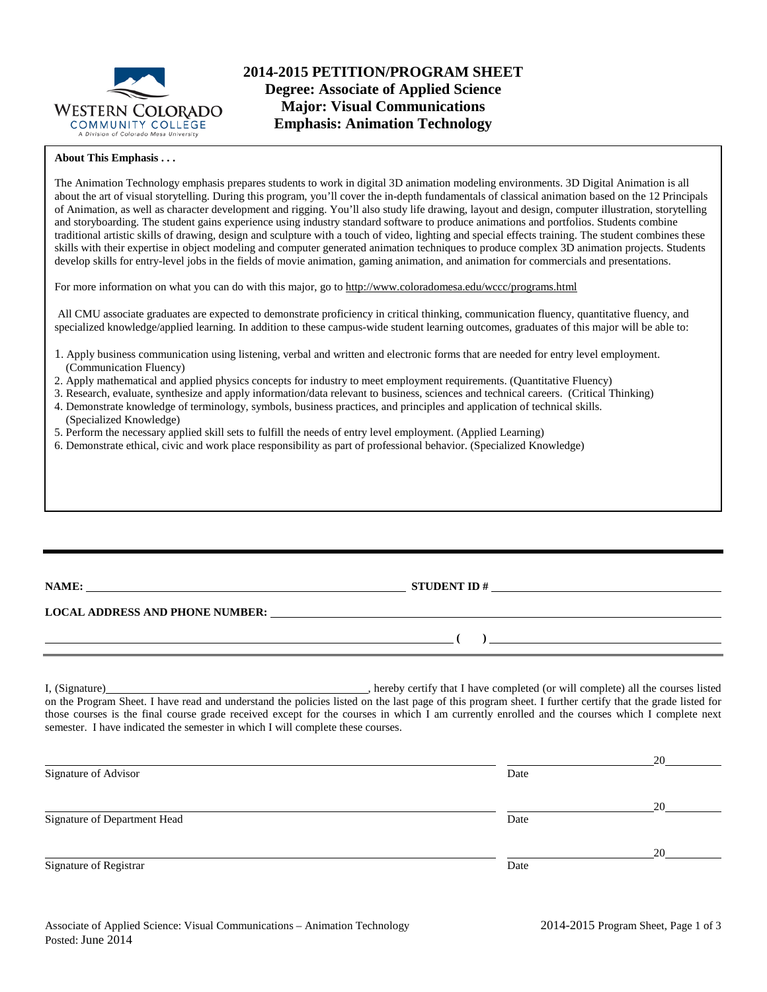

#### **About This Emphasis . . .**

The Animation Technology emphasis prepares students to work in digital 3D animation modeling environments. 3D Digital Animation is all about the art of visual storytelling. During this program, you'll cover the in-depth fundamentals of classical animation based on the 12 Principals of Animation, as well as character development and rigging. You'll also study life drawing, layout and design, computer illustration, storytelling and storyboarding. The student gains experience using industry standard software to produce animations and portfolios. Students combine traditional artistic skills of drawing, design and sculpture with a touch of video, lighting and special effects training. The student combines these skills with their expertise in object modeling and computer generated animation techniques to produce complex 3D animation projects. Students develop skills for entry-level jobs in the fields of movie animation, gaming animation, and animation for commercials and presentations.

For more information on what you can do with this major, go to http://www.coloradomesa.edu/wccc/programs.html

All CMU associate graduates are expected to demonstrate proficiency in critical thinking, communication fluency, quantitative fluency, and specialized knowledge/applied learning. In addition to these campus-wide student learning outcomes, graduates of this major will be able to:

- 1. Apply business communication using listening, verbal and written and electronic forms that are needed for entry level employment. (Communication Fluency)
- 2. Apply mathematical and applied physics concepts for industry to meet employment requirements. (Quantitative Fluency)
- 3. Research, evaluate, synthesize and apply information/data relevant to business, sciences and technical careers. (Critical Thinking)
- 4. Demonstrate knowledge of terminology, symbols, business practices, and principles and application of technical skills. (Specialized Knowledge)
- 5. Perform the necessary applied skill sets to fulfill the needs of entry level employment. (Applied Learning)
- 6. Demonstrate ethical, civic and work place responsibility as part of professional behavior. (Specialized Knowledge)

|  | NAME: |  |
|--|-------|--|
|  |       |  |
|  |       |  |

**NAMES IN A STUDENT ID #** 

**( )** 

#### **LOCAL ADDRESS AND PHONE NUMBER:**

I, (Signature) **Solution** , hereby certify that I have completed (or will complete) all the courses listed on the Program Sheet. I have read and understand the policies listed on the last page of this program sheet. I further certify that the grade listed for those courses is the final course grade received except for the courses in which I am currently enrolled and the courses which I complete next semester. I have indicated the semester in which I will complete these courses.

|                              |      | 20 |
|------------------------------|------|----|
| Signature of Advisor         | Date |    |
|                              |      | 20 |
| Signature of Department Head | Date |    |
|                              |      | 20 |
| Signature of Registrar       | Date |    |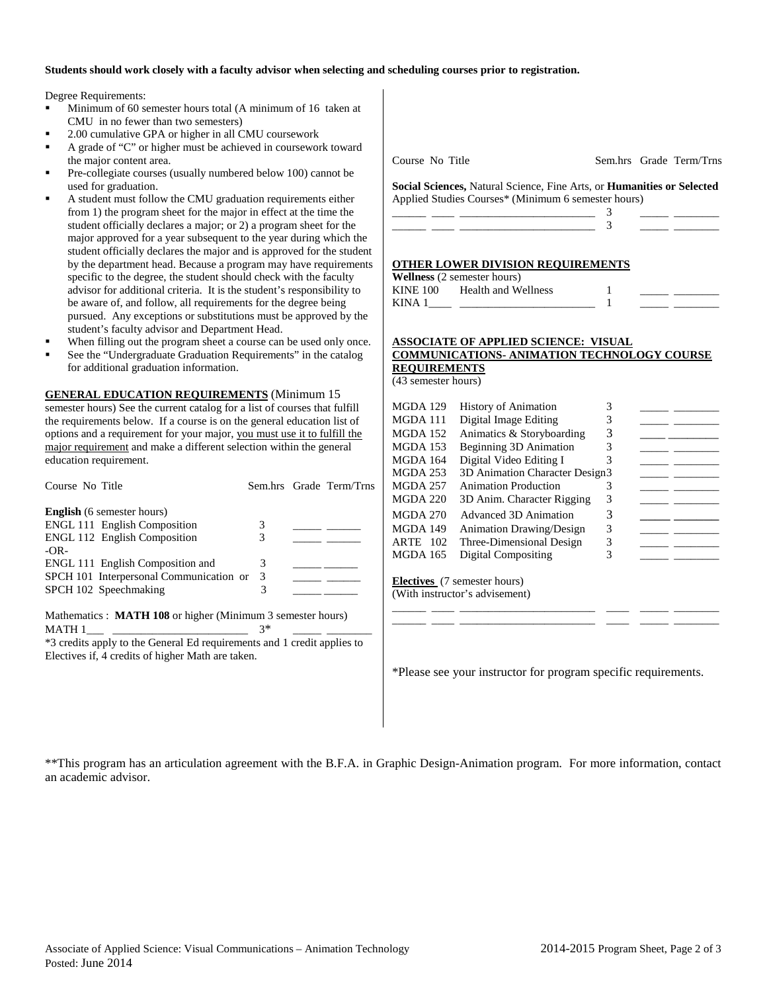### **Students should work closely with a faculty advisor when selecting and scheduling courses prior to registration.**

Degree Requirements:

- Minimum of 60 semester hours total (A minimum of 16 taken at CMU in no fewer than two semesters)
- 2.00 cumulative GPA or higher in all CMU coursework
- A grade of "C" or higher must be achieved in coursework toward the major content area.
- Pre-collegiate courses (usually numbered below 100) cannot be used for graduation.
- A student must follow the CMU graduation requirements either from 1) the program sheet for the major in effect at the time the student officially declares a major; or 2) a program sheet for the major approved for a year subsequent to the year during which the student officially declares the major and is approved for the student by the department head. Because a program may have requirements specific to the degree, the student should check with the faculty advisor for additional criteria. It is the student's responsibility to be aware of, and follow, all requirements for the degree being pursued. Any exceptions or substitutions must be approved by the student's faculty advisor and Department Head.
- When filling out the program sheet a course can be used only once.
- See the "Undergraduate Graduation Requirements" in the catalog for additional graduation information.

**GENERAL EDUCATION REQUIREMENTS** (Minimum 15 semester hours) See the current catalog for a list of courses that fulfill the requirements below. If a course is on the general education list of options and a requirement for your major, you must use it to fulfill the major requirement and make a different selection within the general education requirement.

| Course No Title                                                    |      | Sem.hrs Grade Term/Trns |
|--------------------------------------------------------------------|------|-------------------------|
| <b>English</b> (6 semester hours)                                  |      |                         |
| <b>ENGL 111 English Composition</b>                                | 3    |                         |
| <b>ENGL 112 English Composition</b><br>$-OR-$                      | 3    |                         |
| ENGL 111 English Composition and                                   | 3    |                         |
| SPCH 101 Interpersonal Communication or                            | 3    |                         |
| SPCH 102 Speechmaking                                              | 3    |                         |
| Mathematics : <b>MATH 108</b> or higher (Minimum 3 semester hours) |      |                         |
| MATH 1                                                             | $3*$ |                         |
| .                                                                  |      |                         |

\*3 credits apply to the General Ed requirements and 1 credit applies to Electives if, 4 credits of higher Math are taken.

Course No Title Sem.hrs Grade Term/Trns

**Social Sciences,** Natural Science, Fine Arts, or **Humanities or Selected** Applied Studies Courses\* (Minimum 6 semester hours)

|  |                                                                                                                 |  | _______ |
|--|-----------------------------------------------------------------------------------------------------------------|--|---------|
|  | the contract of the contract of the contract of the contract of the contract of the contract of the contract of |  |         |
|  |                                                                                                                 |  |         |

#### **OTHER LOWER DIVISION REQUIREMENTS**

**Wellness** (2 semester hours) KINE 100 Health and Wellness KINA  $1$   $1$ 

# **ASSOCIATE OF APPLIED SCIENCE: VISUAL COMMUNICATIONS- ANIMATION TECHNOLOGY COURSE REQUIREMENTS**

(43 semester hours)

| <b>History of Animation</b>         | 3 |                                |  |
|-------------------------------------|---|--------------------------------|--|
| Digital Image Editing               | 3 |                                |  |
| Animatics & Storyboarding           | 3 |                                |  |
| Beginning 3D Animation              | 3 |                                |  |
| Digital Video Editing I             | 3 |                                |  |
|                                     |   |                                |  |
| <b>Animation Production</b>         | 3 |                                |  |
| 3D Anim. Character Rigging          | 3 |                                |  |
| Advanced 3D Animation               | 3 |                                |  |
| <b>Animation Drawing/Design</b>     | 3 |                                |  |
| Three-Dimensional Design            | 3 |                                |  |
| Digital Compositing                 | 3 |                                |  |
|                                     |   |                                |  |
| <b>Electives</b> (7 semester hours) |   |                                |  |
| (With instructor's advisement)      |   |                                |  |
|                                     |   | 3D Animation Character Design3 |  |

\*Please see your instructor for program specific requirements.

\_\_\_\_\_\_ \_\_\_\_ \_\_\_\_\_\_\_\_\_\_\_\_\_\_\_\_\_\_\_\_\_\_\_\_ \_\_\_\_ \_\_\_\_\_ \_\_\_\_\_\_\_\_ \_\_\_\_\_\_ \_\_\_\_ \_\_\_\_\_\_\_\_\_\_\_\_\_\_\_\_\_\_\_\_\_\_\_\_ \_\_\_\_ \_\_\_\_\_ \_\_\_\_\_\_\_\_

\*\*This program has an articulation agreement with the B.F.A. in Graphic Design-Animation program. For more information, contact an academic advisor.